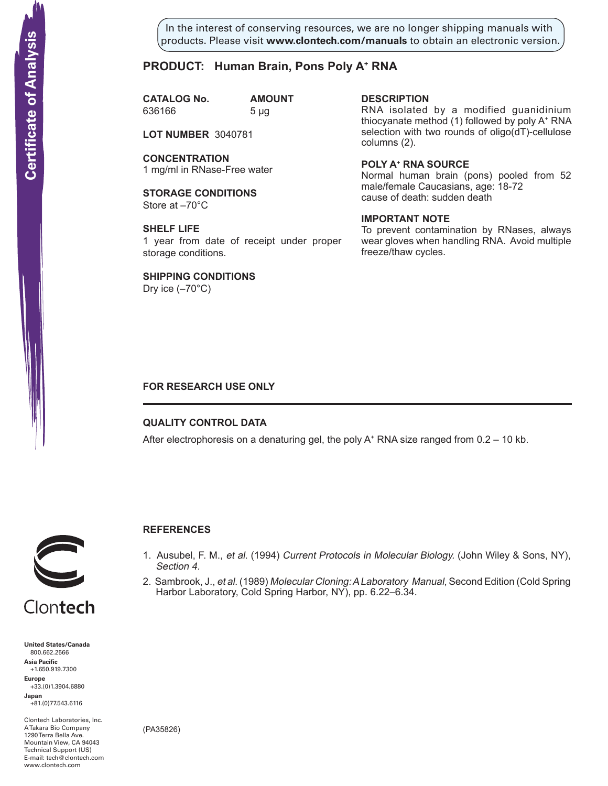In the interest of conserving resources, we are no longer shipping manuals with products. Please visit **www.clontech.com/manuals** to obtain an electronic version.

# **PRODUCT: Human Brain, Pons Poly A+ RNA**

**CATALOG No. AMOUNT** 636166 5 µg

**lot nuMBer** 3040781

**concentration** 1 mg/ml in RNase-Free water

**STORAGE CONDITIONS** Store at –70°C

**SHELF LIFE** 1 year from date of receipt under proper storage conditions.

**SHIPPING CONDITIONS**

Dry ice  $(-70^{\circ}C)$ 

**description**

RNA isolated by a modified guanidinium thiocyanate method (1) followed by poly A<sup>+</sup> RNA selection with two rounds of oligo(dT)-cellulose columns (2).

**poly a<sup>+</sup> rna source** Normal human brain (pons) pooled from 52 male/female Caucasians, age: 18-72 cause of death: sudden death

### **iMportant note**

To prevent contamination by RNases, always wear gloves when handling RNA. Avoid multiple freeze/thaw cycles.

## **FOR RESEARCH USE ONLY**

### **QUALITY CONTROL DATA**

After electrophoresis on a denaturing gel, the poly  $A^+$  RNA size ranged from 0.2 – 10 kb.



# **References**

- 1. Ausubel, F. M., et al. (1994) Current Protocols in Molecular Biology. (John Wiley & Sons, NY), Section 4.
- 2. Sambrook, J., et al. (1989) Molecular Cloning: A Laboratory Manual, Second Edition (Cold Spring Harbor Laboratory, Cold Spring Harbor, NY), pp. 6.22–6.34.

**United States/Canada** 800.662.2566 **Asia Pacific** +1.650.919.7300 **Europe** +33.(0)1.3904.6880 **Japan** +81.(0)77.543.6116 **Solution Control Control Control Control Control Control Control Control Control Control Control Control Control Control Control Control Control Control Control Control Control Control Control Control Control Control Cont** 

Clontech Laboratories, Inc. A Takara Bio Company 1290 Terra Bella Ave. Mountain View, CA 94043 Technical Support (US) E-mail: tech@clontech.com

(PA35826)